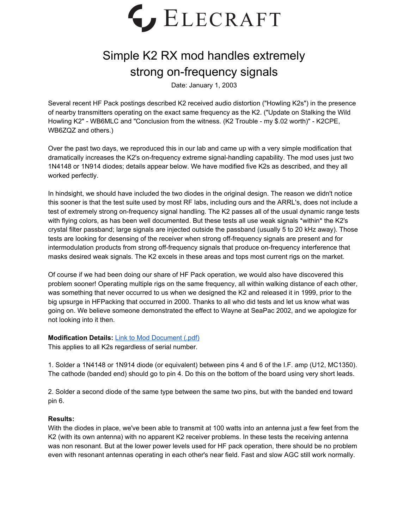

## Simple K2 RX mod handles extremely strong on-frequency signals

Date: January 1, 2003

Several recent HF Pack postings described K2 received audio distortion ("Howling K2s") in the presence of nearby transmitters operating on the exact same frequency as the K2. ("Update on Stalking the Wild Howling K2" - WB6MLC and "Conclusion from the witness. (K2 Trouble - my \$.02 worth)" - K2CPE, WB6ZQZ and others.)

Over the past two days, we reproduced this in our lab and came up with a very simple modification that dramatically increases the K2's on-frequency extreme signal-handling capability. The mod uses just two 1N4148 or 1N914 diodes; details appear below. We have modified five K2s as described, and they all worked perfectly.

In hindsight, we should have included the two diodes in the original design. The reason we didn't notice this sooner is that the test suite used by most RF labs, including ours and the ARRL's, does not include a test of extremely strong on-frequency signal handling. The K2 passes all of the usual dynamic range tests with flying colors, as has been well documented. But these tests all use weak signals \*within\* the K2's crystal filter passband; large signals are injected outside the passband (usually 5 to 20 kHz away). Those tests are looking for desensing of the receiver when strong off-frequency signals are present and for intermodulation products from strong off-frequency signals that produce on-frequency interference that masks desired weak signals. The K2 excels in these areas and tops most current rigs on the market.

Of course if we had been doing our share of HF Pack operation, we would also have discovered this problem sooner! Operating multiple rigs on the same frequency, all within walking distance of each other, was something that never occurred to us when we designed the K2 and released it in 1999, prior to the big upsurge in HFPacking that occurred in 2000. Thanks to all who did tests and let us know what was going on. We believe someone demonstrated the effect to Wayne at SeaPac 2002, and we apologize for not looking into it then.

## **Modification Details:** Link to Mod [Document](https://ftp.elecraft.com/K2/Mod%20Notes%20Alerts/K2ExtremelyStrongSignalMod.pdf) (.pdf)

This applies to all K2s regardless of serial number.

1. Solder a 1N4148 or 1N914 diode (or equivalent) between pins 4 and 6 of the I.F. amp (U12, MC1350). The cathode (banded end) should go to pin 4. Do this on the bottom of the board using very short leads.

2. Solder a second diode of the same type between the same two pins, but with the banded end toward pin 6.

## **Results:**

With the diodes in place, we've been able to transmit at 100 watts into an antenna just a few feet from the K2 (with its own antenna) with no apparent K2 receiver problems. In these tests the receiving antenna was non resonant. But at the lower power levels used for HF pack operation, there should be no problem even with resonant antennas operating in each other's near field. Fast and slow AGC still work normally.